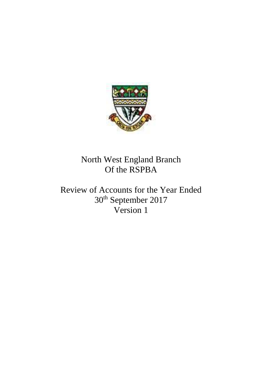

North West England Branch Of the RSPBA

Review of Accounts for the Year Ended 30th September 2017 Version 1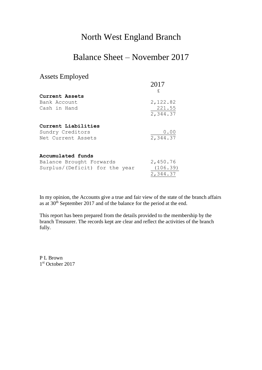## North West England Branch

## Balance Sheet – November 2017

## Assets Employed

|                                | 2017     |
|--------------------------------|----------|
| Current Assets                 | £        |
| Bank Account                   | 2,122.82 |
| Cash in Hand                   | 221.55   |
|                                | 2,344.37 |
| Current Liabilities            |          |
| Sundry Creditors               | 0.00     |
| Net Current Assets             | 2,344.37 |
| Accumulated funds              |          |
| Balance Brought Forwards       | 2,450.76 |
| Surplus/(Deficit) for the year | (106.39) |
|                                | 2,344.37 |

In my opinion, the Accounts give a true and fair view of the state of the branch affairs as at 30<sup>th</sup> September 2017 and of the balance for the period at the end.

This report has been prepared from the details provided to the membership by the branch Treasurer. The records kept are clear and reflect the activities of the branch fully.

P L Brown 1 st October 2017